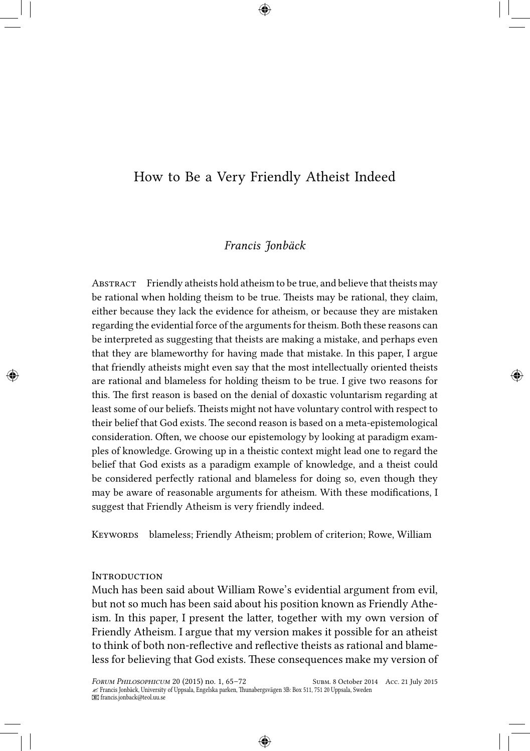# How to Be a Very Friendly Atheist Indeed

## *Francis Jonbäck*

Abstract Friendly atheists hold atheism to be true, and believe that theists may be rational when holding theism to be true. Theists may be rational, they claim, either because they lack the evidence for atheism, or because they are mistaken regarding the evidential force of the arguments for theism. Both these reasons can be interpreted as suggesting that theists are making a mistake, and perhaps even that they are blameworthy for having made that mistake. In this paper, I argue that friendly atheists might even say that the most intellectually oriented theists are rational and blameless for holding theism to be true. I give two reasons for this. The first reason is based on the denial of doxastic voluntarism regarding at least some of our beliefs. Theists might not have voluntary control with respect to their belief that God exists. The second reason is based on a meta-epistemological consideration. Often, we choose our epistemology by looking at paradigm examples of knowledge. Growing up in a theistic context might lead one to regard the belief that God exists as a paradigm example of knowledge, and a theist could be considered perfectly rational and blameless for doing so, even though they may be aware of reasonable arguments for atheism. With these modifications, I suggest that Friendly Atheism is very friendly indeed.

KEYWORDS blameless; Friendly Atheism; problem of criterion; Rowe, William

#### **INTRODUCTION**

Much has been said about William Rowe's evidential argument from evil, but not so much has been said about his position known as Friendly Atheism. In this paper, I present the latter, together with my own version of Friendly Atheism. I argue that my version makes it possible for an atheist to think of both non-reflective and reflective theists as rational and blameless for believing that God exists. These consequences make my version of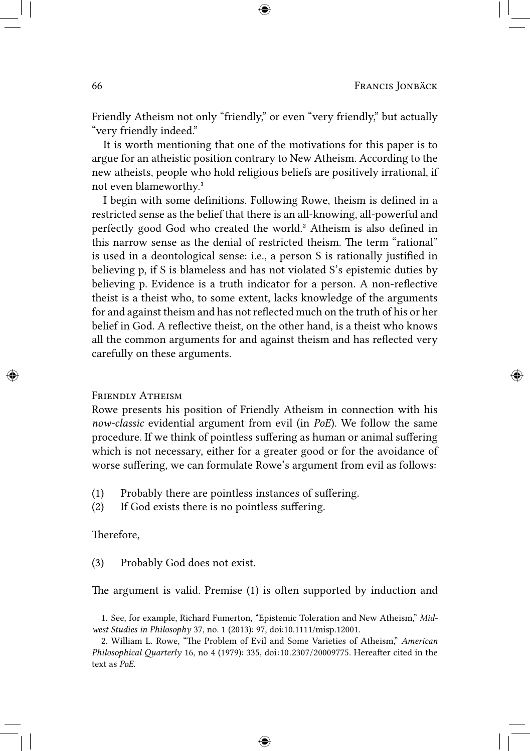Friendly Atheism not only "friendly," or even "very friendly," but actually "very friendly indeed."

It is worth mentioning that one of the motivations for this paper is to argue for an atheistic position contrary to New Atheism. According to the new atheists, people who hold religious beliefs are positively irrational, if not even blameworthy.<sup>1</sup>

I begin with some definitions. Following Rowe, theism is defined in a restricted sense as the belief that there is an all-knowing, all-powerful and perfectly good God who created the world.² Atheism is also defined in this narrow sense as the denial of restricted theism. The term "rational" is used in a deontological sense: i.e., a person S is rationally justified in believing p, if S is blameless and has not violated S's epistemic duties by believing p. Evidence is a truth indicator for a person. A non-reflective theist is a theist who, to some extent, lacks knowledge of the arguments for and against theism and has not reflected much on the truth of his or her belief in God. A reflective theist, on the other hand, is a theist who knows all the common arguments for and against theism and has reflected very carefully on these arguments.

#### Friendly Atheism

Rowe presents his position of Friendly Atheism in connection with his *now-classic* evidential argument from evil (in *PoE*). We follow the same procedure. If we think of pointless suffering as human or animal suffering which is not necessary, either for a greater good or for the avoidance of worse suffering, we can formulate Rowe's argument from evil as follows:

- (1) Probably there are pointless instances of suffering.
- (2) If God exists there is no pointless suffering.

### Therefore,

(3) Probably God does not exist.

The argument is valid. Premise (1) is often supported by induction and

<sup>1.</sup> See, for example, Richard Fumerton, "Epistemic Toleration and New Atheism," *Midwest Studies in Philosophy* 37, no. 1 (2013): 97, doi:10.1111/misp.12001.

<sup>2.</sup> William L. Rowe, "The Problem of Evil and Some Varieties of Atheism," *American Philosophical Quarterly* 16, no 4 (1979): 335, doi:10.2307/20009775. Hereafter cited in the text as *PoE*.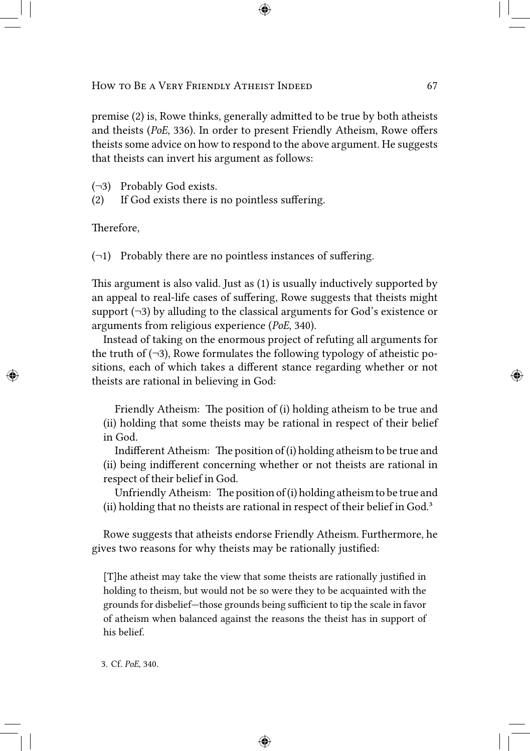premise (2) is, Rowe thinks, generally admitted to be true by both atheists and theists (*PoE*, 336). In order to present Friendly Atheism, Rowe offers theists some advice on how to respond to the above argument. He suggests that theists can invert his argument as follows:

- (¬3) Probably God exists.
- (2) If God exists there is no pointless suffering.

Therefore,

 $(\neg 1)$  Probably there are no pointless instances of suffering.

This argument is also valid. Just as (1) is usually inductively supported by an appeal to real-life cases of suffering, Rowe suggests that theists might support  $(\neg 3)$  by alluding to the classical arguments for God's existence or arguments from religious experience (*PoE*, 340).

Instead of taking on the enormous project of refuting all arguments for the truth of  $(\neg 3)$ , Rowe formulates the following typology of atheistic positions, each of which takes a different stance regarding whether or not theists are rational in believing in God:

Friendly Atheism: The position of (i) holding atheism to be true and (ii) holding that some theists may be rational in respect of their belief in God.

Indifferent Atheism: The position of (i) holding atheism to be true and (ii) being indifferent concerning whether or not theists are rational in respect of their belief in God.

Unfriendly Atheism: The position of (i) holding atheism to be true and (ii) holding that no theists are rational in respect of their belief in  $God.^3$ 

Rowe suggests that atheists endorse Friendly Atheism. Furthermore, he gives two reasons for why theists may be rationally justified:

[T]he atheist may take the view that some theists are rationally justified in holding to theism, but would not be so were they to be acquainted with the grounds for disbelief—those grounds being sufficient to tip the scale in favor of atheism when balanced against the reasons the theist has in support of his belief.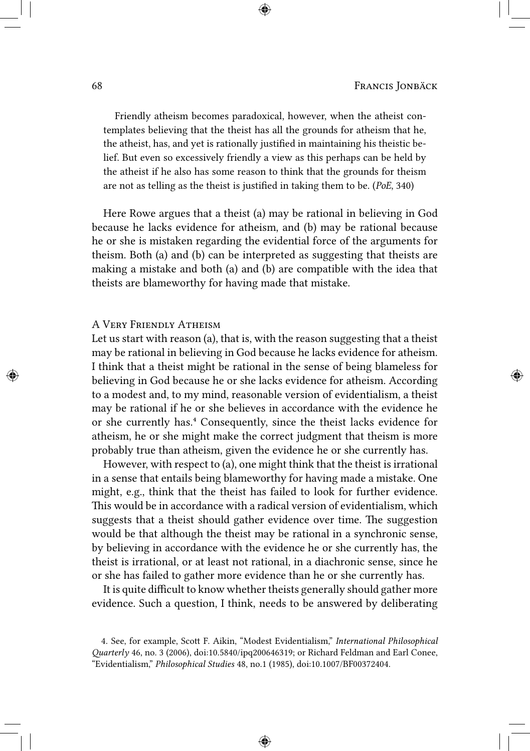Friendly atheism becomes paradoxical, however, when the atheist contemplates believing that the theist has all the grounds for atheism that he, the atheist, has, and yet is rationally justified in maintaining his theistic belief. But even so excessively friendly a view as this perhaps can be held by the atheist if he also has some reason to think that the grounds for theism are not as telling as the theist is justified in taking them to be. (*PoE*, 340)

Here Rowe argues that a theist (a) may be rational in believing in God because he lacks evidence for atheism, and (b) may be rational because he or she is mistaken regarding the evidential force of the arguments for theism. Both (a) and (b) can be interpreted as suggesting that theists are making a mistake and both (a) and (b) are compatible with the idea that theists are blameworthy for having made that mistake.

#### A Very Friendly Atheism

Let us start with reason (a), that is, with the reason suggesting that a theist may be rational in believing in God because he lacks evidence for atheism. I think that a theist might be rational in the sense of being blameless for believing in God because he or she lacks evidence for atheism. According to a modest and, to my mind, reasonable version of evidentialism, a theist may be rational if he or she believes in accordance with the evidence he or she currently has.<sup>4</sup> Consequently, since the theist lacks evidence for atheism, he or she might make the correct judgment that theism is more probably true than atheism, given the evidence he or she currently has.

However, with respect to (a), one might think that the theist is irrational in a sense that entails being blameworthy for having made a mistake. One might, e.g., think that the theist has failed to look for further evidence. This would be in accordance with a radical version of evidentialism, which suggests that a theist should gather evidence over time. The suggestion would be that although the theist may be rational in a synchronic sense, by believing in accordance with the evidence he or she currently has, the theist is irrational, or at least not rational, in a diachronic sense, since he or she has failed to gather more evidence than he or she currently has.

It is quite difficult to know whether theists generally should gather more evidence. Such a question, I think, needs to be answered by deliberating

<sup>4.</sup> See, for example, Scott F. Aikin, "Modest Evidentialism," *International Philosophical Quarterly* 46, no. 3 (2006), doi:10.5840/ipq200646319; or Richard Feldman and Earl Conee, "Evidentialism," *Philosophical Studies* 48, no.1 (1985), doi:10.1007/BF00372404.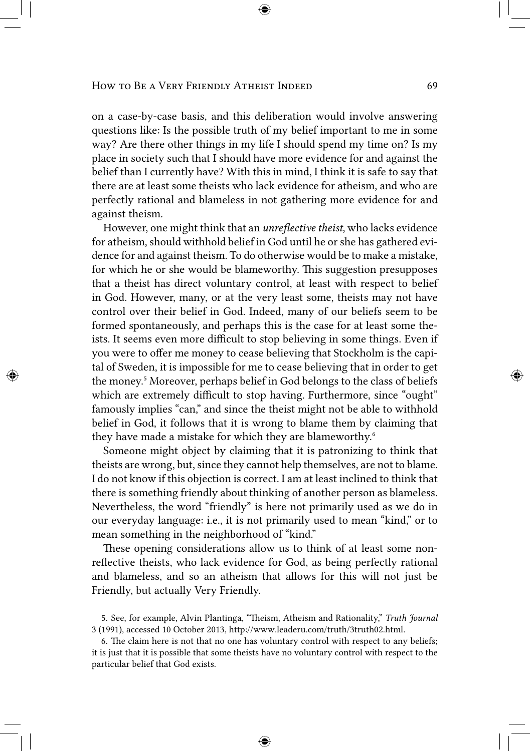on a case-by-case basis, and this deliberation would involve answering questions like: Is the possible truth of my belief important to me in some way? Are there other things in my life I should spend my time on? Is my place in society such that I should have more evidence for and against the belief than I currently have? With this in mind, I think it is safe to say that there are at least some theists who lack evidence for atheism, and who are perfectly rational and blameless in not gathering more evidence for and against theism.

However, one might think that an *unreflective theist*, who lacks evidence for atheism, should withhold belief in God until he or she has gathered evidence for and against theism. To do otherwise would be to make a mistake, for which he or she would be blameworthy. This suggestion presupposes that a theist has direct voluntary control, at least with respect to belief in God. However, many, or at the very least some, theists may not have control over their belief in God. Indeed, many of our beliefs seem to be formed spontaneously, and perhaps this is the case for at least some theists. It seems even more difficult to stop believing in some things. Even if you were to offer me money to cease believing that Stockholm is the capital of Sweden, it is impossible for me to cease believing that in order to get the money.<sup>5</sup> Moreover, perhaps belief in God belongs to the class of beliefs which are extremely difficult to stop having. Furthermore, since "ought" famously implies "can," and since the theist might not be able to withhold belief in God, it follows that it is wrong to blame them by claiming that they have made a mistake for which they are blameworthy.<sup>6</sup>

Someone might object by claiming that it is patronizing to think that theists are wrong, but, since they cannot help themselves, are not to blame. I do not know if this objection is correct. I am at least inclined to think that there is something friendly about thinking of another person as blameless. Nevertheless, the word "friendly" is here not primarily used as we do in our everyday language: i.e., it is not primarily used to mean "kind," or to mean something in the neighborhood of "kind."

These opening considerations allow us to think of at least some nonreflective theists, who lack evidence for God, as being perfectly rational and blameless, and so an atheism that allows for this will not just be Friendly, but actually Very Friendly.

<sup>5.</sup> See, for example, Alvin Plantinga, "Theism, Atheism and Rationality," *Truth Journal* 3 (1991), accessed 10 October 2013, http://www.leaderu.com/truth/3truth02.html.

<sup>6.</sup> The claim here is not that no one has voluntary control with respect to any beliefs; it is just that it is possible that some theists have no voluntary control with respect to the particular belief that God exists.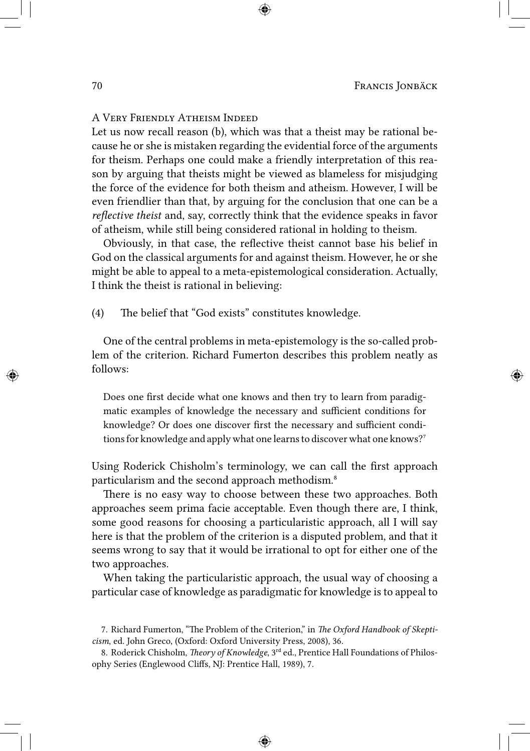#### A Very Friendly Atheism Indeed

Let us now recall reason (b), which was that a theist may be rational because he or she is mistaken regarding the evidential force of the arguments for theism. Perhaps one could make a friendly interpretation of this reason by arguing that theists might be viewed as blameless for misjudging the force of the evidence for both theism and atheism. However, I will be even friendlier than that, by arguing for the conclusion that one can be a *reflective theist* and, say, correctly think that the evidence speaks in favor of atheism, while still being considered rational in holding to theism.

Obviously, in that case, the reflective theist cannot base his belief in God on the classical arguments for and against theism. However, he or she might be able to appeal to a meta-epistemological consideration. Actually, I think the theist is rational in believing:

(4) The belief that "God exists" constitutes knowledge.

One of the central problems in meta-epistemology is the so-called problem of the criterion. Richard Fumerton describes this problem neatly as follows:

Does one first decide what one knows and then try to learn from paradigmatic examples of knowledge the necessary and sufficient conditions for knowledge? Or does one discover first the necessary and sufficient conditions for knowledge and apply what one learns to discover what one knows?<sup>7</sup>

Using Roderick Chisholm's terminology, we can call the first approach particularism and the second approach methodism.<sup>8</sup>

There is no easy way to choose between these two approaches. Both approaches seem prima facie acceptable. Even though there are, I think, some good reasons for choosing a particularistic approach, all I will say here is that the problem of the criterion is a disputed problem, and that it seems wrong to say that it would be irrational to opt for either one of the two approaches.

When taking the particularistic approach, the usual way of choosing a particular case of knowledge as paradigmatic for knowledge is to appeal to

<sup>7.</sup> Richard Fumerton, "The Problem of the Criterion," in *The Oxford Handbook of Skepticism*, ed. John Greco, (Oxford: Oxford University Press, 2008), 36.

<sup>8.</sup> Roderick Chisholm, *Theory of Knowledge*, 3<sup>rd</sup> ed., Prentice Hall Foundations of Philosophy Series (Englewood Cliffs, NJ: Prentice Hall, 1989), 7.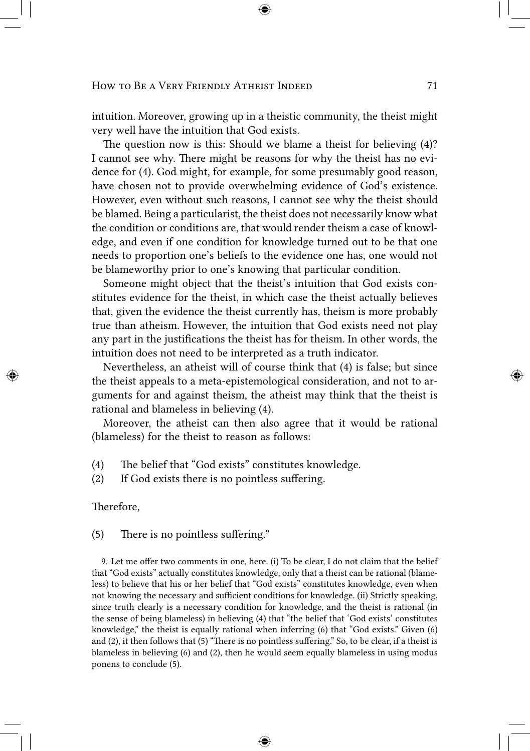intuition. Moreover, growing up in a theistic community, the theist might very well have the intuition that God exists.

The question now is this: Should we blame a theist for believing (4)? I cannot see why. There might be reasons for why the theist has no evidence for (4). God might, for example, for some presumably good reason, have chosen not to provide overwhelming evidence of God's existence. However, even without such reasons, I cannot see why the theist should be blamed. Being a particularist, the theist does not necessarily know what the condition or conditions are, that would render theism a case of knowledge, and even if one condition for knowledge turned out to be that one needs to proportion one's beliefs to the evidence one has, one would not be blameworthy prior to one's knowing that particular condition.

Someone might object that the theist's intuition that God exists constitutes evidence for the theist, in which case the theist actually believes that, given the evidence the theist currently has, theism is more probably true than atheism. However, the intuition that God exists need not play any part in the justifications the theist has for theism. In other words, the intuition does not need to be interpreted as a truth indicator.

Nevertheless, an atheist will of course think that (4) is false; but since the theist appeals to a meta-epistemological consideration, and not to arguments for and against theism, the atheist may think that the theist is rational and blameless in believing (4).

Moreover, the atheist can then also agree that it would be rational (blameless) for the theist to reason as follows:

- (4) The belief that "God exists" constitutes knowledge.
- (2) If God exists there is no pointless suffering.

### Therefore,

(5) There is no pointless suffering.<sup>9</sup>

9. Let me offer two comments in one, here. (i) To be clear, I do not claim that the belief that "God exists" actually constitutes knowledge, only that a theist can be rational (blameless) to believe that his or her belief that "God exists" constitutes knowledge, even when not knowing the necessary and sufficient conditions for knowledge. (ii) Strictly speaking, since truth clearly is a necessary condition for knowledge, and the theist is rational (in the sense of being blameless) in believing (4) that "the belief that 'God exists' constitutes knowledge," the theist is equally rational when inferring (6) that "God exists." Given (6) and (2), it then follows that (5) "There is no pointless suffering." So, to be clear, if a theist is blameless in believing (6) and (2), then he would seem equally blameless in using modus ponens to conclude (5).